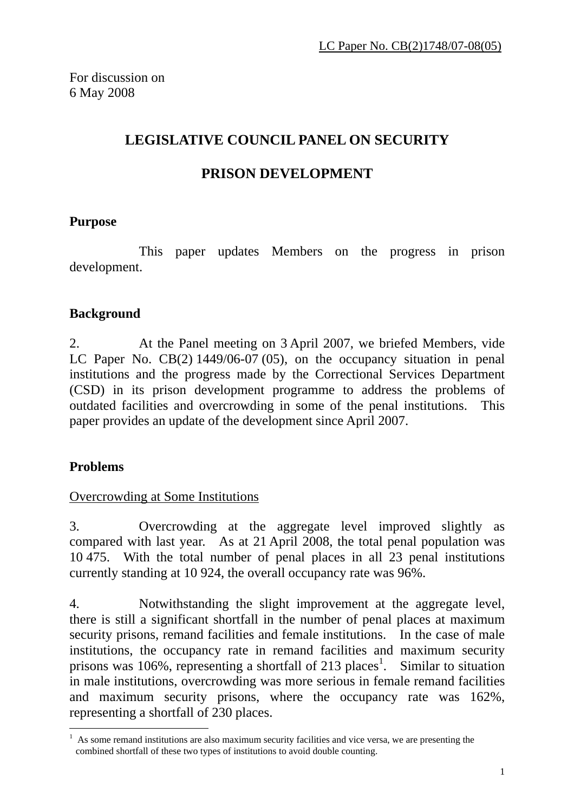# **LEGISLATIVE COUNCIL PANEL ON SECURITY**

## **PRISON DEVELOPMENT**

### **Purpose**

 This paper updates Members on the progress in prison development.

### **Background**

2. At the Panel meeting on 3 April 2007, we briefed Members, vide LC Paper No. CB(2) 1449/06-07 (05), on the occupancy situation in penal institutions and the progress made by the Correctional Services Department (CSD) in its prison development programme to address the problems of outdated facilities and overcrowding in some of the penal institutions. This paper provides an update of the development since April 2007.

### **Problems**

 $\overline{a}$ 

### Overcrowding at Some Institutions

3. Overcrowding at the aggregate level improved slightly as compared with last year. As at 21 April 2008, the total penal population was 10 475. With the total number of penal places in all 23 penal institutions currently standing at 10 924, the overall occupancy rate was 96%.

4. Notwithstanding the slight improvement at the aggregate level, there is still a significant shortfall in the number of penal places at maximum security prisons, remand facilities and female institutions. In the case of male institutions, the occupancy rate in remand facilities and maximum security prisons was 106%, representing a shortfall of 213 places<sup>1</sup>. Similar to situation in male institutions, overcrowding was more serious in female remand facilities and maximum security prisons, where the occupancy rate was 162%, representing a shortfall of 230 places.

<sup>1</sup> As some remand institutions are also maximum security facilities and vice versa, we are presenting the combined shortfall of these two types of institutions to avoid double counting.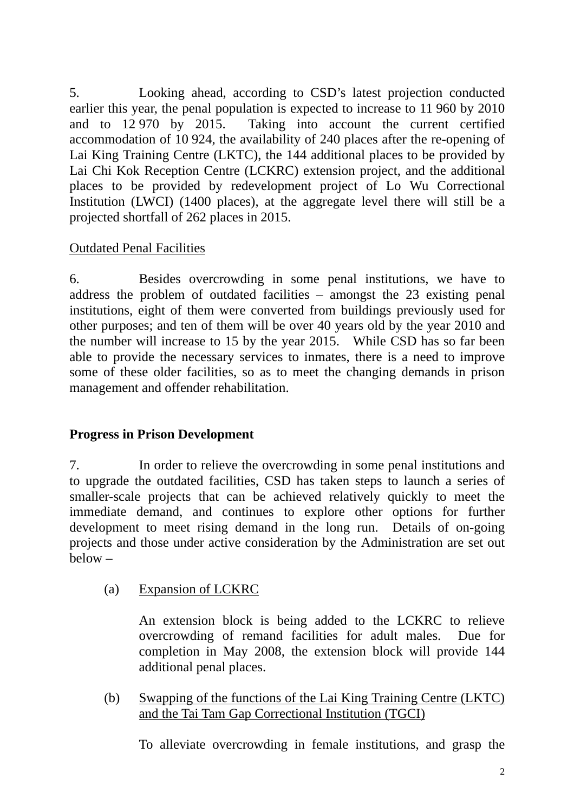5. Looking ahead, according to CSD's latest projection conducted earlier this year, the penal population is expected to increase to 11 960 by 2010 and to 12 970 by 2015. Taking into account the current certified accommodation of 10 924, the availability of 240 places after the re-opening of Lai King Training Centre (LKTC), the 144 additional places to be provided by Lai Chi Kok Reception Centre (LCKRC) extension project, and the additional places to be provided by redevelopment project of Lo Wu Correctional Institution (LWCI) (1400 places), at the aggregate level there will still be a projected shortfall of 262 places in 2015.

#### Outdated Penal Facilities

6. Besides overcrowding in some penal institutions, we have to address the problem of outdated facilities – amongst the 23 existing penal institutions, eight of them were converted from buildings previously used for other purposes; and ten of them will be over 40 years old by the year 2010 and the number will increase to 15 by the year 2015. While CSD has so far been able to provide the necessary services to inmates, there is a need to improve some of these older facilities, so as to meet the changing demands in prison management and offender rehabilitation.

### **Progress in Prison Development**

7. In order to relieve the overcrowding in some penal institutions and to upgrade the outdated facilities, CSD has taken steps to launch a series of smaller-scale projects that can be achieved relatively quickly to meet the immediate demand, and continues to explore other options for further development to meet rising demand in the long run. Details of on-going projects and those under active consideration by the Administration are set out  $helow -$ 

(a) Expansion of LCKRC

 An extension block is being added to the LCKRC to relieve overcrowding of remand facilities for adult males. Due for completion in May 2008, the extension block will provide 144 additional penal places.

(b) Swapping of the functions of the Lai King Training Centre (LKTC) and the Tai Tam Gap Correctional Institution (TGCI)

To alleviate overcrowding in female institutions, and grasp the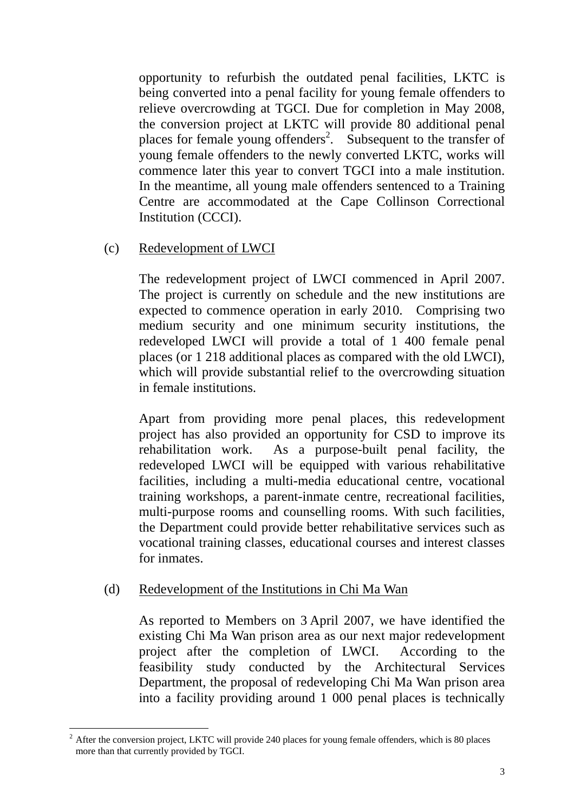opportunity to refurbish the outdated penal facilities, LKTC is being converted into a penal facility for young female offenders to relieve overcrowding at TGCI. Due for completion in May 2008, the conversion project at LKTC will provide 80 additional penal places for female young offenders<sup>2</sup>. Subsequent to the transfer of young female offenders to the newly converted LKTC, works will commence later this year to convert TGCI into a male institution. In the meantime, all young male offenders sentenced to a Training Centre are accommodated at the Cape Collinson Correctional Institution (CCCI).

#### (c) Redevelopment of LWCI

 The redevelopment project of LWCI commenced in April 2007. The project is currently on schedule and the new institutions are expected to commence operation in early 2010. Comprising two medium security and one minimum security institutions, the redeveloped LWCI will provide a total of 1 400 female penal places (or 1 218 additional places as compared with the old LWCI), which will provide substantial relief to the overcrowding situation in female institutions.

 Apart from providing more penal places, this redevelopment project has also provided an opportunity for CSD to improve its rehabilitation work. As a purpose-built penal facility, the redeveloped LWCI will be equipped with various rehabilitative facilities, including a multi-media educational centre, vocational training workshops, a parent-inmate centre, recreational facilities, multi-purpose rooms and counselling rooms. With such facilities, the Department could provide better rehabilitative services such as vocational training classes, educational courses and interest classes for inmates.

#### (d) Redevelopment of the Institutions in Chi Ma Wan

 As reported to Members on 3 April 2007, we have identified the existing Chi Ma Wan prison area as our next major redevelopment project after the completion of LWCI. According to the feasibility study conducted by the Architectural Services Department, the proposal of redeveloping Chi Ma Wan prison area into a facility providing around 1 000 penal places is technically

 $\overline{a}$ 

 $2^2$  After the conversion project, LKTC will provide 240 places for young female offenders, which is 80 places more than that currently provided by TGCI.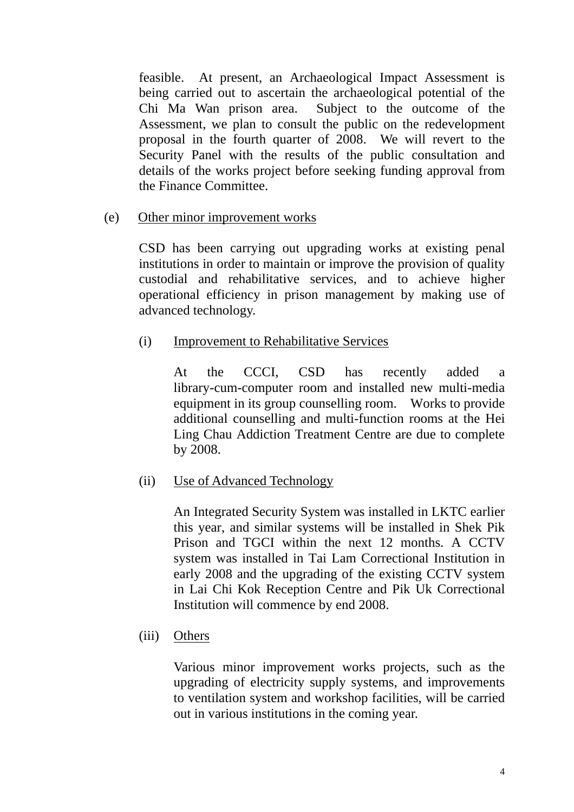feasible. At present, an Archaeological Impact Assessment is being carried out to ascertain the archaeological potential of the Chi Ma Wan prison area. Subject to the outcome of the Assessment, we plan to consult the public on the redevelopment proposal in the fourth quarter of 2008. We will revert to the Security Panel with the results of the public consultation and details of the works project before seeking funding approval from the Finance Committee.

(e) Other minor improvement works

 CSD has been carrying out upgrading works at existing penal institutions in order to maintain or improve the provision of quality custodial and rehabilitative services, and to achieve higher operational efficiency in prison management by making use of advanced technology.

(i) Improvement to Rehabilitative Services

 At the CCCI, CSD has recently added a library-cum-computer room and installed new multi-media equipment in its group counselling room. Works to provide additional counselling and multi-function rooms at the Hei Ling Chau Addiction Treatment Centre are due to complete by 2008.

(ii) Use of Advanced Technology

 An Integrated Security System was installed in LKTC earlier this year, and similar systems will be installed in Shek Pik Prison and TGCI within the next 12 months. A CCTV system was installed in Tai Lam Correctional Institution in early 2008 and the upgrading of the existing CCTV system in Lai Chi Kok Reception Centre and Pik Uk Correctional Institution will commence by end 2008.

(iii) Others

 Various minor improvement works projects, such as the upgrading of electricity supply systems, and improvements to ventilation system and workshop facilities, will be carried out in various institutions in the coming year.